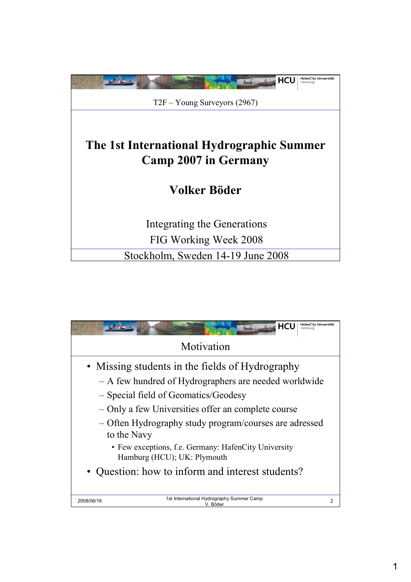

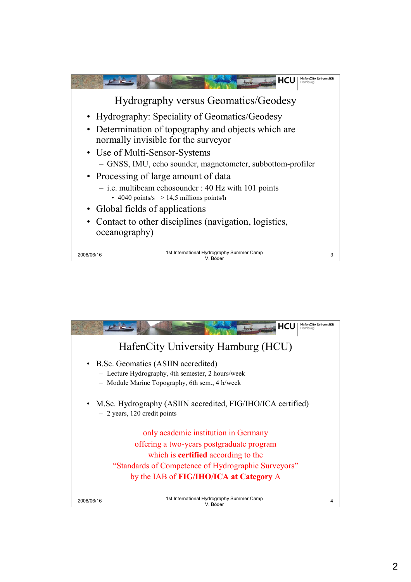

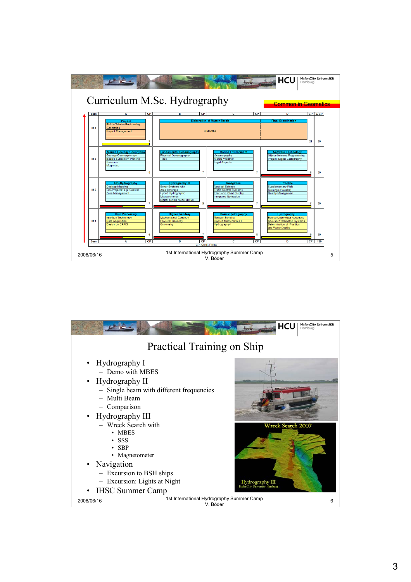

|                                                                                                                                                                                                                                                                                                                                                      | <b>HafenCity Universität</b><br>HCU<br>Hamburg                              |  |  |  |
|------------------------------------------------------------------------------------------------------------------------------------------------------------------------------------------------------------------------------------------------------------------------------------------------------------------------------------------------------|-----------------------------------------------------------------------------|--|--|--|
| <b>Practical Training on Ship</b>                                                                                                                                                                                                                                                                                                                    |                                                                             |  |  |  |
| Hydrography I<br>- Demo with MBES<br>• Hydrography II<br>- Single beam with different frequencies<br>- Multi Beam<br>- Comparison<br>• Hydrography III<br>- Wreck Search with<br>$\cdot$ MBES<br>$\cdot$ SSS<br>$\cdot$ SBP<br>• Magnetometer<br>· Navigation<br>- Excursion to BSH ships<br>- Excursion: Lights at Night<br><b>IHSC Summer Camp</b> | <b>Wreck Search 2007</b><br>Hydrography III<br>HafenCity University Hamburg |  |  |  |
| 1st International Hydrography Summer Camp<br>2008/06/16<br>V. Böder                                                                                                                                                                                                                                                                                  | 6                                                                           |  |  |  |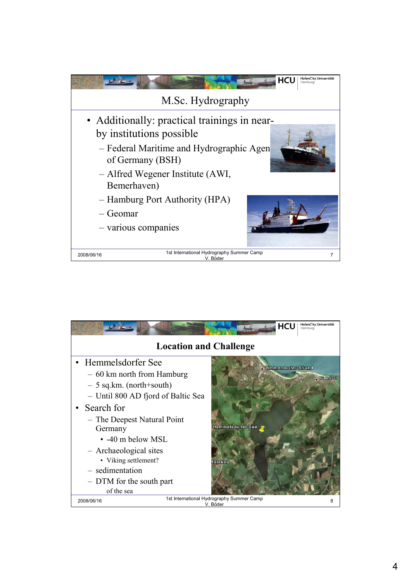

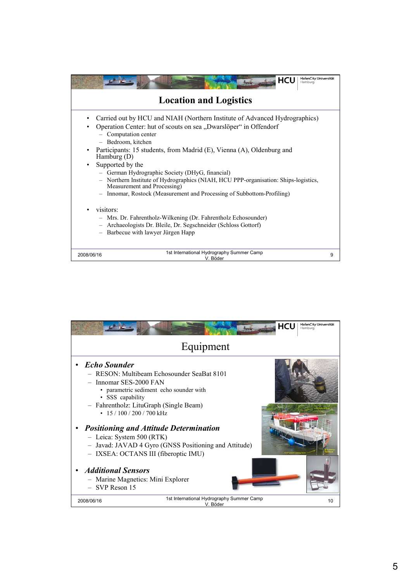|                                               | <b>HafenCity Universität</b><br><b>HCU</b><br>Hamburg                                                                                                                                                                                                                                                                                                                                                                                                                                                                                                                    |   |  |  |
|-----------------------------------------------|--------------------------------------------------------------------------------------------------------------------------------------------------------------------------------------------------------------------------------------------------------------------------------------------------------------------------------------------------------------------------------------------------------------------------------------------------------------------------------------------------------------------------------------------------------------------------|---|--|--|
| <b>Location and Logistics</b>                 |                                                                                                                                                                                                                                                                                                                                                                                                                                                                                                                                                                          |   |  |  |
| ٠                                             | Carried out by HCU and NIAH (Northern Institute of Advanced Hydrographics)<br>Operation Center: hut of scouts on sea "Dwarslöper" in Offendorf<br>- Computation center<br>- Bedroom, kitchen<br>Participants: 15 students, from Madrid (E), Vienna (A), Oldenburg and<br>Hamburg $(D)$<br>Supported by the<br>- German Hydrographic Society (DHyG, financial)<br>- Northern Institute of Hydrographics (NIAH, HCU PPP-organisation: Ships-logistics,<br>Measurement and Processing)<br>Innomar, Rostock (Measurement and Processing of Subbottom-Profiling)<br>visitors: |   |  |  |
| $\qquad \qquad -$<br>$\overline{\phantom{0}}$ | Mrs. Dr. Fahrentholz-Wilkening (Dr. Fahrentholz Echosounder)<br>Archaeologists Dr. Bleile, Dr. Segschneider (Schloss Gottorf)<br>$-$<br>Barbecue with lawyer Jürgen Happ                                                                                                                                                                                                                                                                                                                                                                                                 |   |  |  |
| 2008/06/16                                    | 1st International Hydrography Summer Camp<br>V. Böder                                                                                                                                                                                                                                                                                                                                                                                                                                                                                                                    | 9 |  |  |

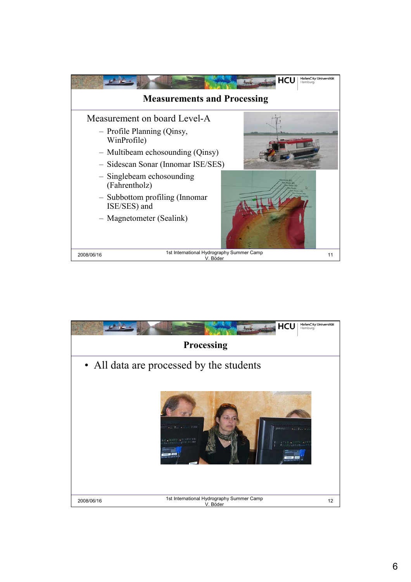

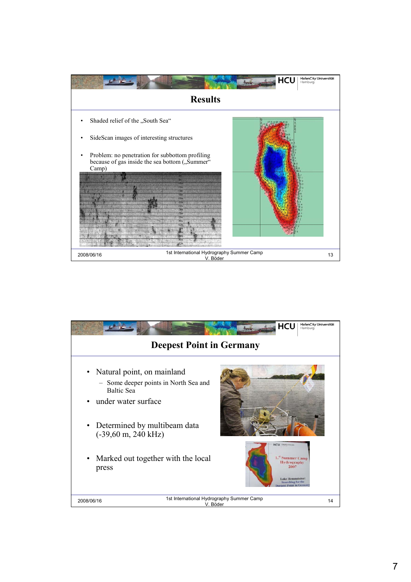

| <b>HafenCity Universität</b><br><b>HCU</b><br>Hamburg<br><b>Deepest Point in Germany</b> |                                                                                                                                                     |  |  |  |
|------------------------------------------------------------------------------------------|-----------------------------------------------------------------------------------------------------------------------------------------------------|--|--|--|
|                                                                                          |                                                                                                                                                     |  |  |  |
| • Natural point, on mainland                                                             |                                                                                                                                                     |  |  |  |
| - Some deeper points in North Sea and<br><b>Baltic Sea</b>                               |                                                                                                                                                     |  |  |  |
| • under water surface                                                                    |                                                                                                                                                     |  |  |  |
| • Determined by multibeam data<br>$(-39,60 \text{ m}, 240 \text{ kHz})$                  |                                                                                                                                                     |  |  |  |
| Marked out together with the local<br>$\bullet$<br>press                                 | HCU <b>COMPANY</b><br>1." Summer Camp<br><b>Hydrography</b><br>2007<br><b>Lake Hemmelsdorf</b><br><b>Searching</b> for the<br>pest Point in Germany |  |  |  |
| 1st International Hydrography Summer Camp<br>2008/06/16<br>V. Böder                      | 14                                                                                                                                                  |  |  |  |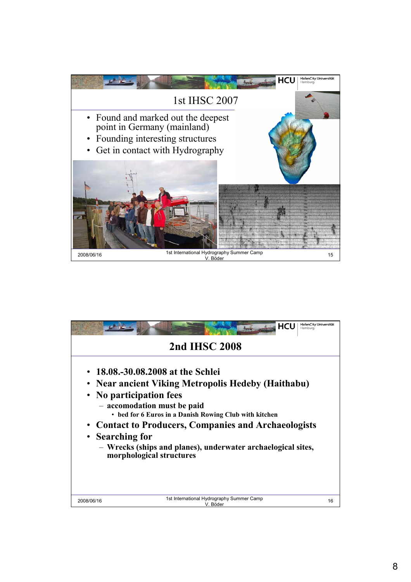

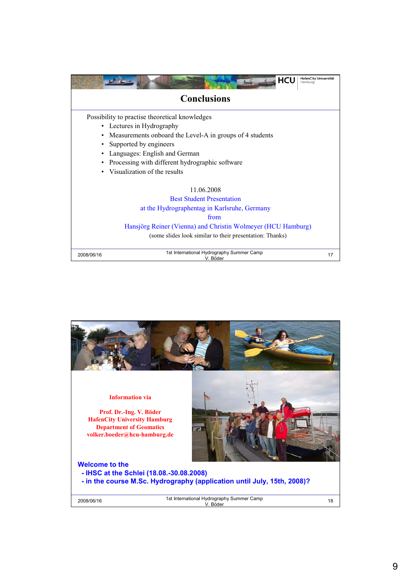|            | <b>HafenCity Universität</b><br><b>HCU</b><br>Hamburg        |    |
|------------|--------------------------------------------------------------|----|
|            | <b>Conclusions</b>                                           |    |
|            | Possibility to practise theoretical knowledges               |    |
|            | • Lectures in Hydrography                                    |    |
|            | Measurements onboard the Level-A in groups of 4 students     |    |
|            | Supported by engineers                                       |    |
|            | Languages: English and German                                |    |
|            | Processing with different hydrographic software              |    |
|            | • Visualization of the results                               |    |
|            | 11.06.2008                                                   |    |
|            | <b>Best Student Presentation</b>                             |    |
|            | at the Hydrographentag in Karlsruhe, Germany                 |    |
|            | from                                                         |    |
|            | Hansjörg Reiner (Vienna) and Christin Wolmeyer (HCU Hamburg) |    |
|            | (some slides look similar to their presentation: Thanks)     |    |
| 2008/06/16 | 1st International Hydrography Summer Camp<br>V. Böder        | 17 |